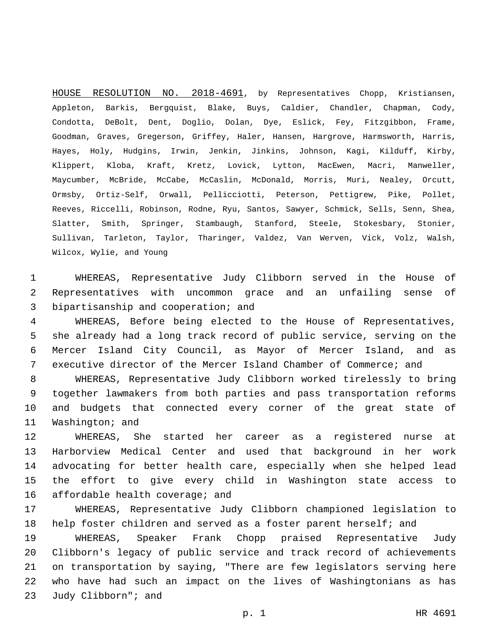HOUSE RESOLUTION NO. 2018-4691, by Representatives Chopp, Kristiansen, Appleton, Barkis, Bergquist, Blake, Buys, Caldier, Chandler, Chapman, Cody, Condotta, DeBolt, Dent, Doglio, Dolan, Dye, Eslick, Fey, Fitzgibbon, Frame, Goodman, Graves, Gregerson, Griffey, Haler, Hansen, Hargrove, Harmsworth, Harris, Hayes, Holy, Hudgins, Irwin, Jenkin, Jinkins, Johnson, Kagi, Kilduff, Kirby, Klippert, Kloba, Kraft, Kretz, Lovick, Lytton, MacEwen, Macri, Manweller, Maycumber, McBride, McCabe, McCaslin, McDonald, Morris, Muri, Nealey, Orcutt, Ormsby, Ortiz-Self, Orwall, Pellicciotti, Peterson, Pettigrew, Pike, Pollet, Reeves, Riccelli, Robinson, Rodne, Ryu, Santos, Sawyer, Schmick, Sells, Senn, Shea, Slatter, Smith, Springer, Stambaugh, Stanford, Steele, Stokesbary, Stonier, Sullivan, Tarleton, Taylor, Tharinger, Valdez, Van Werven, Vick, Volz, Walsh, Wilcox, Wylie, and Young

1 WHEREAS, Representative Judy Clibborn served in the House of 2 Representatives with uncommon grace and an unfailing sense of 3 bipartisanship and cooperation; and

 WHEREAS, Before being elected to the House of Representatives, she already had a long track record of public service, serving on the Mercer Island City Council, as Mayor of Mercer Island, and as executive director of the Mercer Island Chamber of Commerce; and

 WHEREAS, Representative Judy Clibborn worked tirelessly to bring together lawmakers from both parties and pass transportation reforms and budgets that connected every corner of the great state of 11 Washington; and

 WHEREAS, She started her career as a registered nurse at Harborview Medical Center and used that background in her work advocating for better health care, especially when she helped lead the effort to give every child in Washington state access to 16 affordable health coverage; and

17 WHEREAS, Representative Judy Clibborn championed legislation to 18 help foster children and served as a foster parent herself; and

 WHEREAS, Speaker Frank Chopp praised Representative Judy Clibborn's legacy of public service and track record of achievements on transportation by saying, "There are few legislators serving here who have had such an impact on the lives of Washingtonians as has 23 Judy Clibborn"; and